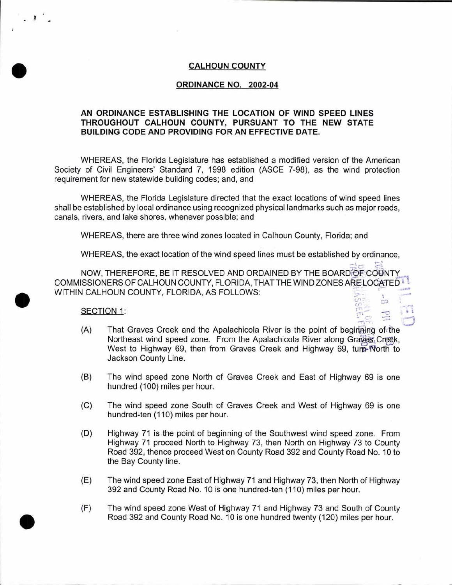# CALHOUN COUNTY

### ORDINANCE NO. 2002-04

# AN ORDINANCE ESTABLISHING THE LOCATION OF WIND SPEED LINES THROUGHOUT CALHOUN COUNTY, PURSUANT TO THE NEW STATE BUILDING CODE AND PROVIDING FOR AN EFFECTIVE DATE.

WHEREAS, the Florida Legislature has established a modified version of the American Society of Civil Engineers' Standard 7, 1998 edition (ASCE 7-98), as the wind protection requirement for new statewide building codes; and, and

WHEREAS, the Florida Legislature directed that the exact locations of wind speed lines shall be established by local ordinance using recognized physical landmarks such as major roads, canals, rivers, and lake shores, whenever possible; and

WHEREAS, there are three wind zones located in Calhoun County, Florida; and

WHEREAS, the exact location of the wind speed lines must be established by ordinance,

 $\vec{E}$   $=$   $\vec{E}$ NOW, THEREFORE, BE IT RESOLVED AND ORDAINED BY THE BOARD OF COUNTY COMMISSIONERS OF CALHOUN COUNTY, FLORIDA, THAT THE WIND ZONES ARE LOCATED  $\mathbb{I}$   $\mathbb{I}$ WITHIN CALHOUN COUNTY, FLORIDA, AS FOLLOWS:

•

 $\lambda$ 

•

•



- (A) That Graves Creek and the Apalachicola River is the point of beginaling of the Northeast wind speed zone. From the Apalachicola River along Graves Creek, West to Highway 69, then from Graves Creek and Highway 69, turn- North to Jackson County Line.
- (B) The wind speed zone North of Graves Creek and East of Highway 69 is one hundred (100) miles per hour.
- (C) The wind speed zone South of Graves Creek and West of Highway 69 is one hundred-ten (110) miles per hour.
- (D) Highway 71 is the point of beginning of the Southwest wind speed zone. From Highway 71 proceed North to Highway 73, then North on Highway 73 to County Road 392, thence proceed West on County Road 392 and County Road No. 10 to the Bay County line.
- (E) The wind speed zone East of Highway 71 and Highway 73, then North of Highway 392 and County Road No. 10 is one hundred-ten (110) miles per hour.
- {F) The wind speed zone West of Highway 71 and Highway 73 and South of County Road 392 and County Road No. 10 is one hundred twenty (120) miles per hour .